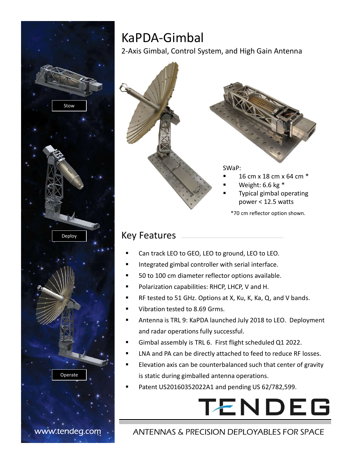

# KaPDA-Gimbal

2-Axis Gimbal, Control System, and High Gain Antenna



- Can track LEO to GEO, LEO to ground, LEO to LEO.
- Integrated gimbal controller with serial interface.
- 50 to 100 cm diameter reflector options available.
- Polarization capabilities: RHCP, LHCP, V and H.
- RF tested to 51 GHz. Options at X, Ku, K, Ka, Q, and V bands.
- Vibration tested to 8.69 Grms.
- and radar operations fully successful.
- Gimbal assembly is TRL 6. First flight scheduled Q1 2022.
- LNA and PA can be directly attached to feed to reduce RF losses.
- Elevation axis can be counterbalanced such that center of gravity is static during gimballed antenna operations.
- Patent US20160352022A1 and pending US 62/782,599.



#### www.tendeg.com · ANTENNAS & PRECISION DEPLOYABLES FOR SPACE